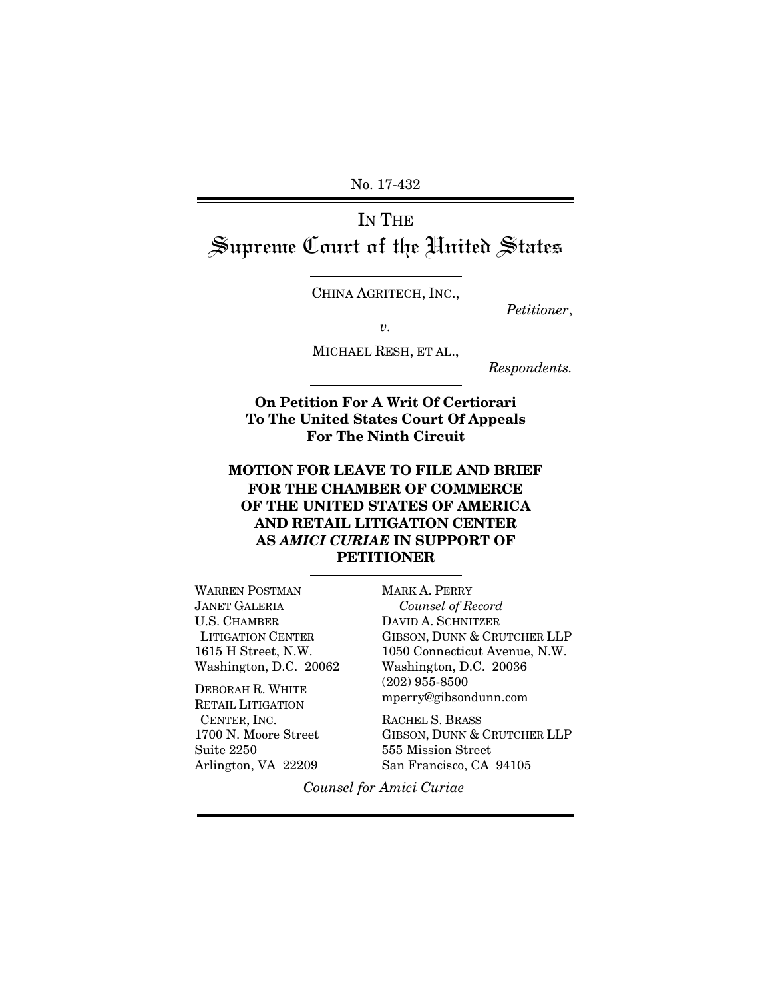No. 17-432

# IN THE Supreme Court of the United States

CHINA AGRITECH, INC.,

*Petitioner*,

*v.*

MICHAEL RESH, ET AL.,

*Respondents.*

**On Petition For A Writ Of Certiorari To The United States Court Of Appeals For The Ninth Circuit**

## **MOTION FOR LEAVE TO FILE AND BRIEF FOR THE CHAMBER OF COMMERCE OF THE UNITED STATES OF AMERICA AND RETAIL LITIGATION CENTER AS** *AMICI CURIAE* **IN SUPPORT OF PETITIONER**

WARREN POSTMAN JANET GALERIA U.S. CHAMBER LITIGATION CENTER 1615 H Street, N.W. Washington, D.C. 20062

DEBORAH R. WHITE RETAIL LITIGATION CENTER, INC. 1700 N. Moore Street Suite 2250 Arlington, VA 22209

MARK A. PERRY *Counsel of Record* DAVID A. SCHNITZER GIBSON, DUNN & CRUTCHER LLP 1050 Connecticut Avenue, N.W. Washington, D.C. 20036 (202) 955-8500 mperry@gibsondunn.com

RACHEL S. BRASS GIBSON, DUNN & CRUTCHER LLP 555 Mission Street San Francisco, CA 94105

*Counsel for Amici Curiae*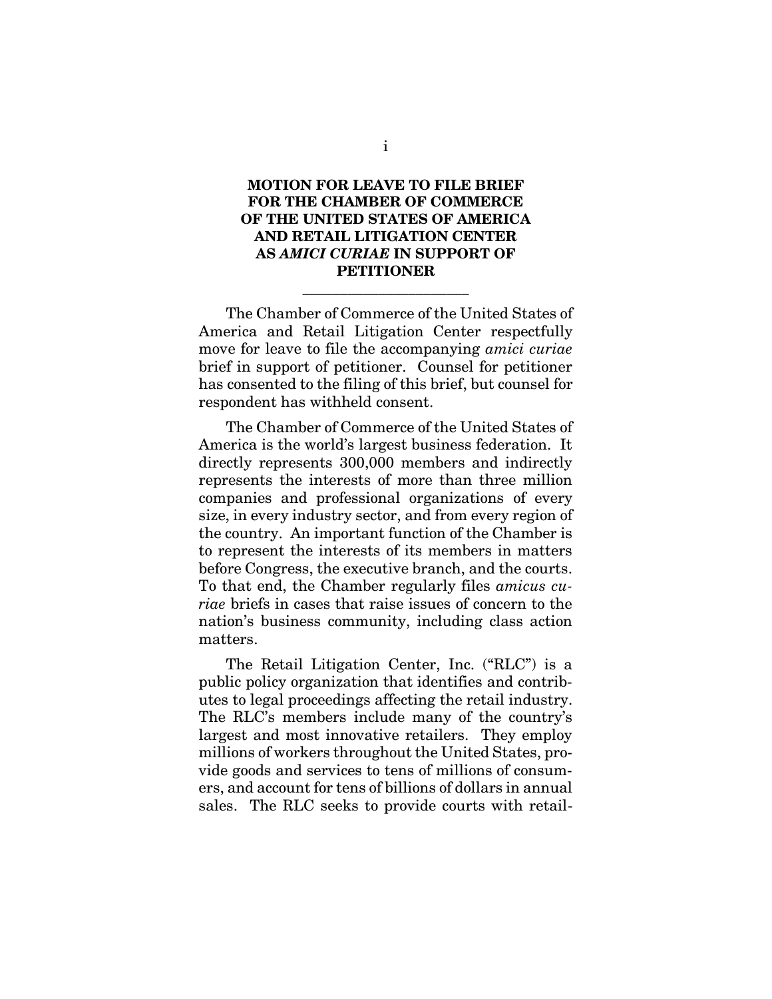### **MOTION FOR LEAVE TO FILE BRIEF FOR THE CHAMBER OF COMMERCE OF THE UNITED STATES OF AMERICA AND RETAIL LITIGATION CENTER AS** *AMICI CURIAE* **IN SUPPORT OF PETITIONER**

\_\_\_\_\_\_\_\_\_\_\_\_\_\_\_\_\_\_\_\_\_\_

The Chamber of Commerce of the United States of America and Retail Litigation Center respectfully move for leave to file the accompanying *amici curiae*  brief in support of petitioner. Counsel for petitioner has consented to the filing of this brief, but counsel for respondent has withheld consent.

The Chamber of Commerce of the United States of America is the world's largest business federation. It directly represents 300,000 members and indirectly represents the interests of more than three million companies and professional organizations of every size, in every industry sector, and from every region of the country. An important function of the Chamber is to represent the interests of its members in matters before Congress, the executive branch, and the courts. To that end, the Chamber regularly files *amicus curiae* briefs in cases that raise issues of concern to the nation's business community, including class action matters.

The Retail Litigation Center, Inc. ("RLC") is a public policy organization that identifies and contributes to legal proceedings affecting the retail industry. The RLC's members include many of the country's largest and most innovative retailers. They employ millions of workers throughout the United States, provide goods and services to tens of millions of consumers, and account for tens of billions of dollars in annual sales. The RLC seeks to provide courts with retail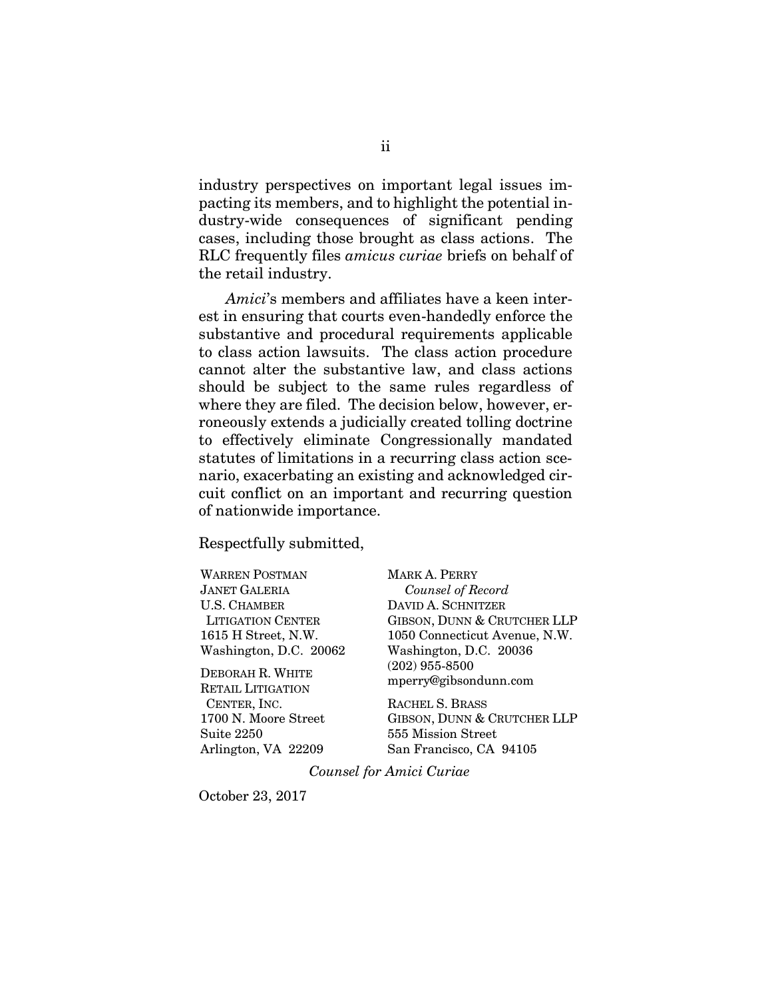industry perspectives on important legal issues impacting its members, and to highlight the potential industry-wide consequences of significant pending cases, including those brought as class actions. The RLC frequently files *amicus curiae* briefs on behalf of the retail industry.

*Amici*'s members and affiliates have a keen interest in ensuring that courts even-handedly enforce the substantive and procedural requirements applicable to class action lawsuits. The class action procedure cannot alter the substantive law, and class actions should be subject to the same rules regardless of where they are filed. The decision below, however, erroneously extends a judicially created tolling doctrine to effectively eliminate Congressionally mandated statutes of limitations in a recurring class action scenario, exacerbating an existing and acknowledged circuit conflict on an important and recurring question of nationwide importance.

Respectfully submitted,

WARREN POSTMAN JANET GALERIA U.S. CHAMBER LITIGATION CENTER 1615 H Street, N.W. Washington, D.C. 20062

DEBORAH R. WHITE RETAIL LITIGATION CENTER, INC. 1700 N. Moore Street Suite 2250 Arlington, VA 22209

MARK A. PERRY *Counsel of Record* DAVID A. SCHNITZER GIBSON, DUNN & CRUTCHER LLP 1050 Connecticut Avenue, N.W. Washington, D.C. 20036 (202) 955-8500 mperry@gibsondunn.com

RACHEL S. BRASS GIBSON, DUNN & CRUTCHER LLP 555 Mission Street San Francisco, CA 94105

*Counsel for Amici Curiae*

October 23, 2017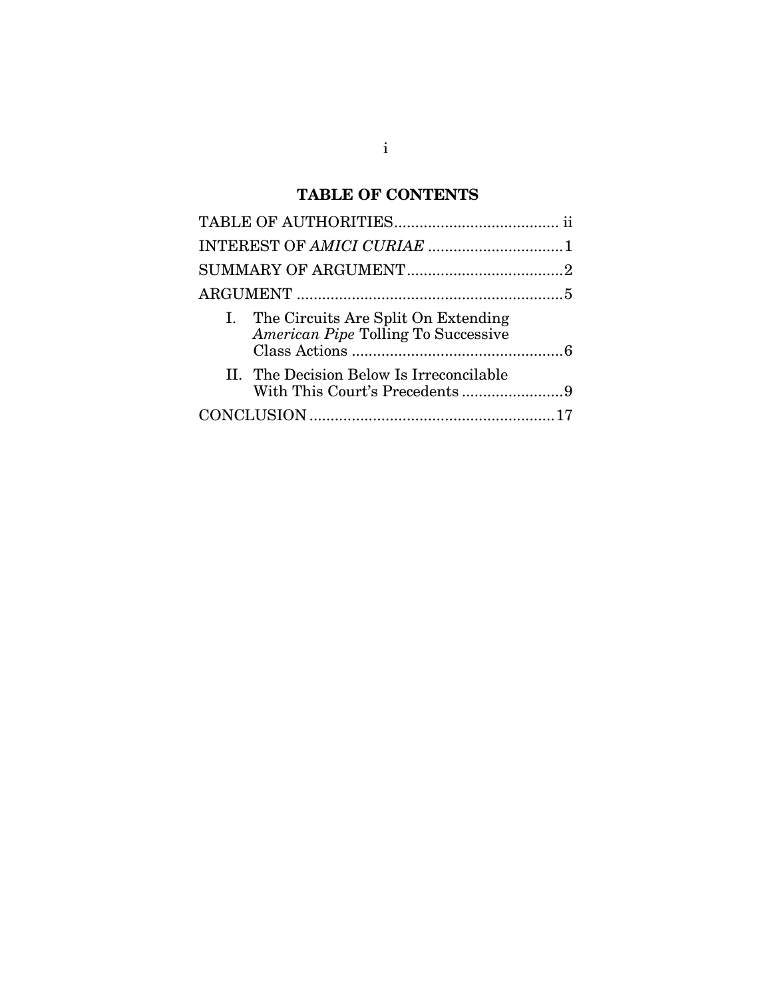# **TABLE OF CONTENTS**

| I. The Circuits Are Split On Extending<br>American Pipe Tolling To Successive |  |
|-------------------------------------------------------------------------------|--|
| II. The Decision Below Is Irreconcilable                                      |  |
|                                                                               |  |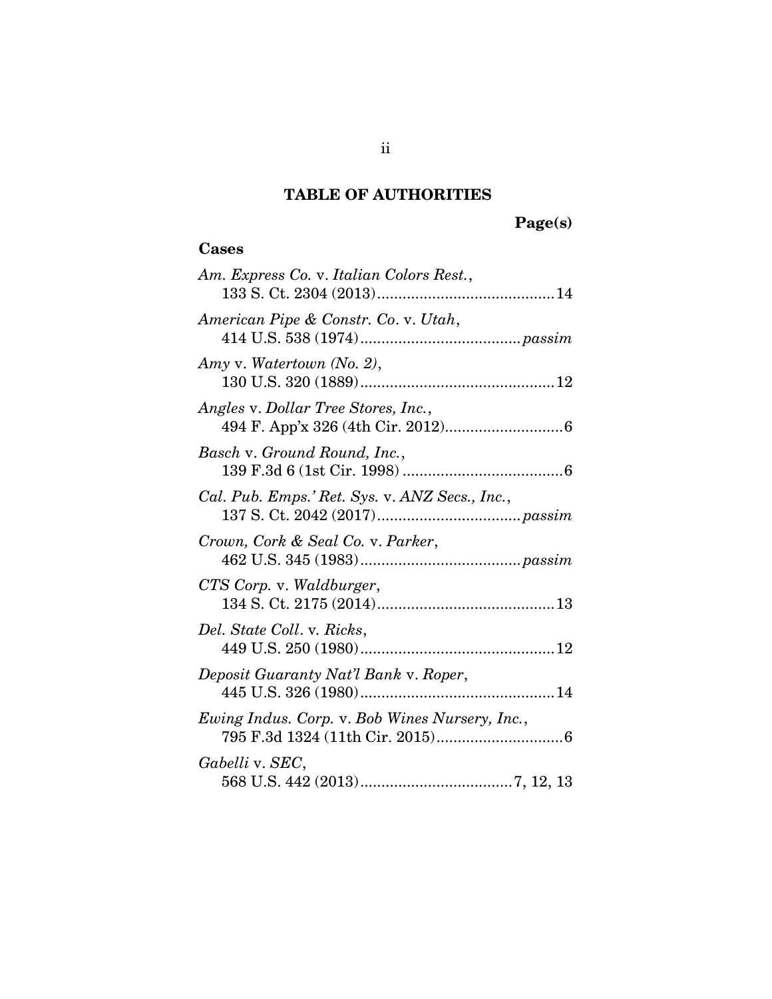## **TABLE OF AUTHORITIES**

# **Page(s)**

## <span id="page-4-0"></span>**Cases**

| Am. Express Co. v. Italian Colors Rest.,       |
|------------------------------------------------|
| American Pipe & Constr. Co. v. Utah,           |
| Amy v. Watertown (No. 2),                      |
| Angles v. Dollar Tree Stores, Inc.,            |
| Basch v. Ground Round, Inc.,                   |
| Cal. Pub. Emps.' Ret. Sys. v. ANZ Secs., Inc., |
| Crown, Cork & Seal Co. v. Parker,              |
| CTS Corp. v. Waldburger,                       |
| Del. State Coll. v. Ricks,                     |
| Deposit Guaranty Nat'l Bank v. Roper,          |
| Ewing Indus. Corp. v. Bob Wines Nursery, Inc., |
| Gabelli v. SEC,                                |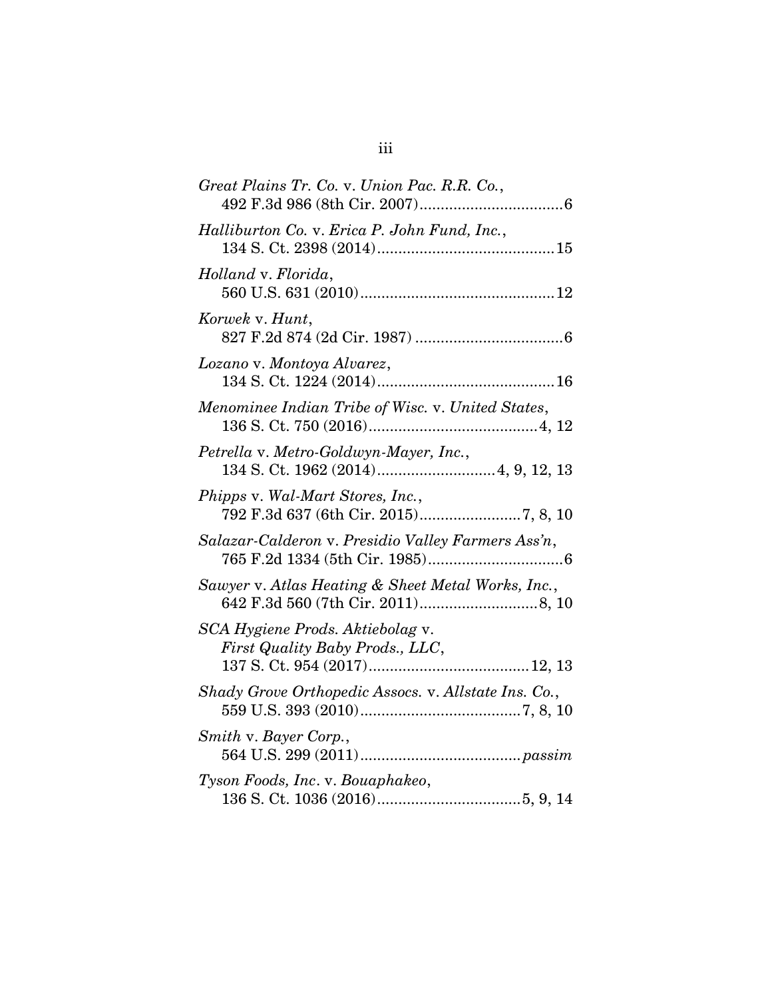| Great Plains Tr. Co. v. Union Pac. R.R. Co.,                        |
|---------------------------------------------------------------------|
| Halliburton Co. v. Erica P. John Fund, Inc.,                        |
| Holland v. Florida,                                                 |
| Korwek v. Hunt,                                                     |
| Lozano v. Montoya Alvarez,                                          |
| Menominee Indian Tribe of Wisc. v. United States,                   |
| Petrella v. Metro-Goldwyn-Mayer, Inc.,                              |
| Phipps v. Wal-Mart Stores, Inc.,                                    |
| Salazar-Calderon v. Presidio Valley Farmers Ass'n,                  |
| Sawyer v. Atlas Heating & Sheet Metal Works, Inc.,                  |
| SCA Hygiene Prods. Aktiebolag v.<br>First Quality Baby Prods., LLC, |
| Shady Grove Orthopedic Assocs. v. Allstate Ins. Co.,                |
| Smith v. Bayer Corp.,                                               |
| Tyson Foods, Inc. v. Bouaphakeo,                                    |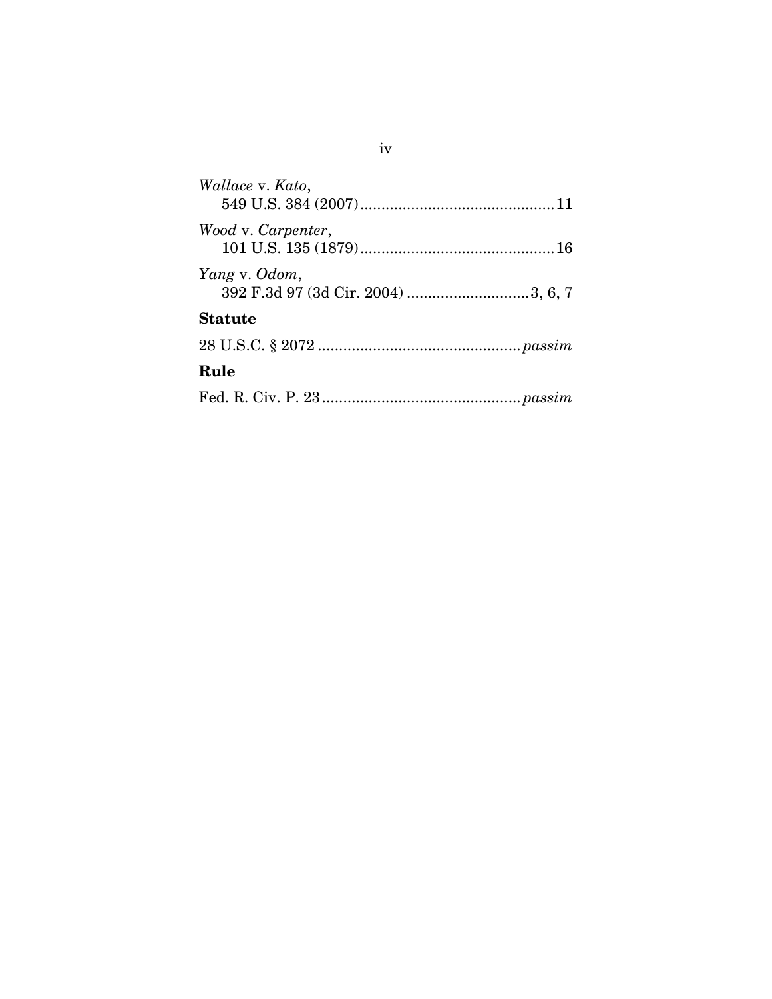| Wallace v. Kato,                                    |
|-----------------------------------------------------|
| Wood v. Carpenter,                                  |
| Yang v. Odom,<br>392 F.3d 97 (3d Cir. 2004) 3, 6, 7 |
| <b>Statute</b>                                      |
|                                                     |
| Rule                                                |
|                                                     |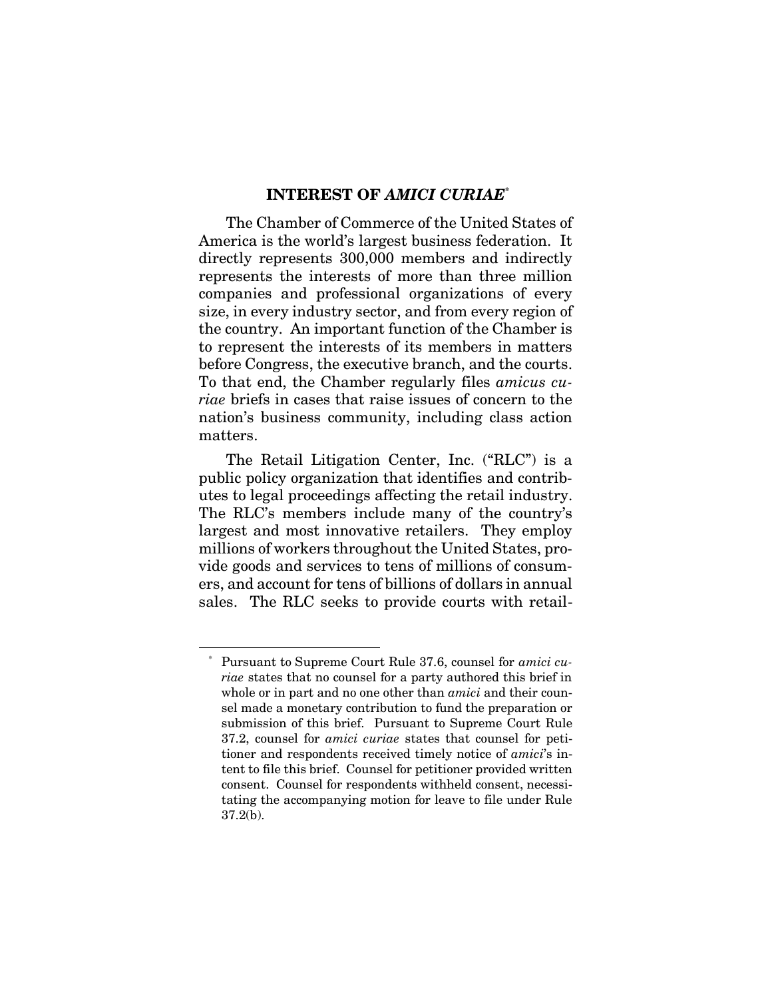## **INTEREST OF** *AMICI CURIAE***\***

<span id="page-7-0"></span>The Chamber of Commerce of the United States of America is the world's largest business federation. It directly represents 300,000 members and indirectly represents the interests of more than three million companies and professional organizations of every size, in every industry sector, and from every region of the country. An important function of the Chamber is to represent the interests of its members in matters before Congress, the executive branch, and the courts. To that end, the Chamber regularly files *amicus curiae* briefs in cases that raise issues of concern to the nation's business community, including class action matters.

The Retail Litigation Center, Inc. ("RLC") is a public policy organization that identifies and contributes to legal proceedings affecting the retail industry. The RLC's members include many of the country's largest and most innovative retailers. They employ millions of workers throughout the United States, provide goods and services to tens of millions of consumers, and account for tens of billions of dollars in annual sales. The RLC seeks to provide courts with retail-

 $\overline{a}$ 

<sup>\*</sup> Pursuant to Supreme Court Rule 37.6, counsel for *amici curiae* states that no counsel for a party authored this brief in whole or in part and no one other than *amici* and their counsel made a monetary contribution to fund the preparation or submission of this brief. Pursuant to Supreme Court Rule 37.2, counsel for *amici curiae* states that counsel for petitioner and respondents received timely notice of *amici*'s intent to file this brief. Counsel for petitioner provided written consent. Counsel for respondents withheld consent, necessitating the accompanying motion for leave to file under Rule 37.2(b).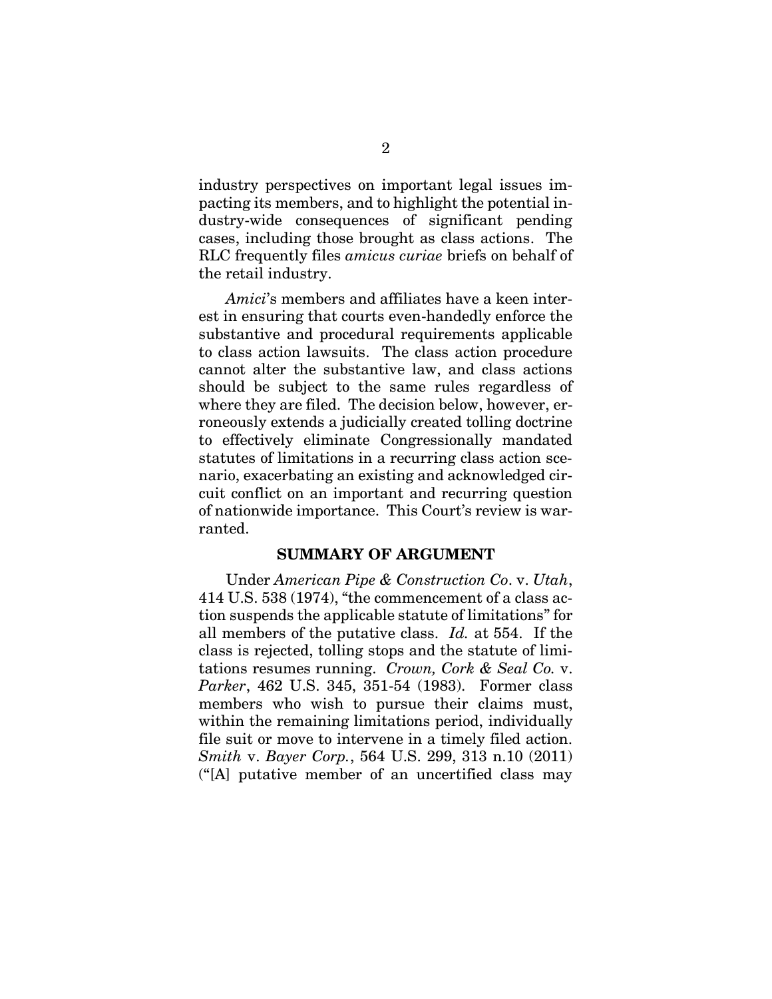industry perspectives on important legal issues impacting its members, and to highlight the potential industry-wide consequences of significant pending cases, including those brought as class actions. The RLC frequently files *amicus curiae* briefs on behalf of the retail industry.

*Amici*'s members and affiliates have a keen interest in ensuring that courts even-handedly enforce the substantive and procedural requirements applicable to class action lawsuits. The class action procedure cannot alter the substantive law, and class actions should be subject to the same rules regardless of where they are filed. The decision below, however, erroneously extends a judicially created tolling doctrine to effectively eliminate Congressionally mandated statutes of limitations in a recurring class action scenario, exacerbating an existing and acknowledged circuit conflict on an important and recurring question of nationwide importance. This Court's review is warranted.

#### <span id="page-8-2"></span><span id="page-8-1"></span>**SUMMARY OF ARGUMENT**

<span id="page-8-3"></span><span id="page-8-0"></span>Under *American Pipe & Construction Co*. v. *Utah*, 414 U.S. 538 (1974), "the commencement of a class action suspends the applicable statute of limitations" for all members of the putative class. *Id.* at 554. If the class is rejected, tolling stops and the statute of limitations resumes running. *Crown, Cork & Seal Co.* v. *Parker*, 462 U.S. 345, 351-54 (1983). Former class members who wish to pursue their claims must, within the remaining limitations period, individually file suit or move to intervene in a timely filed action. *Smith* v. *Bayer Corp.*, 564 U.S. 299, 313 n.10 (2011) ("[A] putative member of an uncertified class may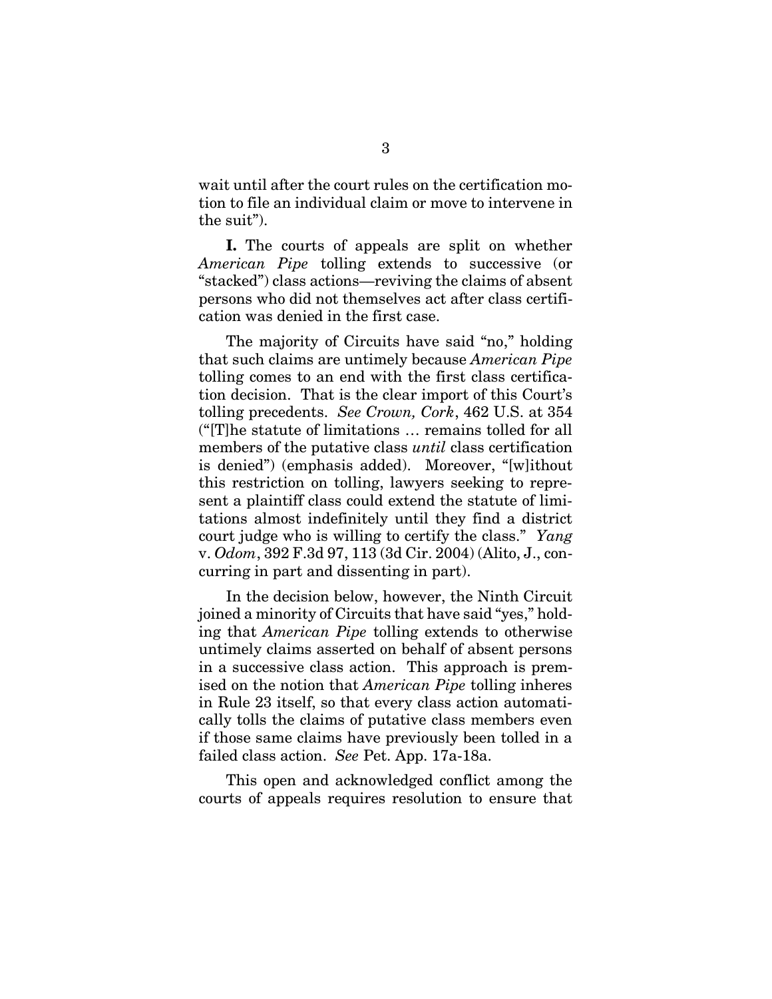wait until after the court rules on the certification motion to file an individual claim or move to intervene in the suit").

**I.** The courts of appeals are split on whether *American Pipe* tolling extends to successive (or "stacked") class actions—reviving the claims of absent persons who did not themselves act after class certification was denied in the first case.

The majority of Circuits have said "no," holding that such claims are untimely because *American Pipe*  tolling comes to an end with the first class certification decision. That is the clear import of this Court's tolling precedents. *See Crown, Cork*, 462 U.S. at 354 ("[T]he statute of limitations … remains tolled for all members of the putative class *until* class certification is denied") (emphasis added). Moreover, "[w]ithout this restriction on tolling, lawyers seeking to represent a plaintiff class could extend the statute of limitations almost indefinitely until they find a district court judge who is willing to certify the class." *Yang*  v. *Odom*, 392 F.3d 97, 113 (3d Cir. 2004) (Alito, J., concurring in part and dissenting in part).

<span id="page-9-0"></span>In the decision below, however, the Ninth Circuit joined a minority of Circuits that have said "yes," holding that *American Pipe* tolling extends to otherwise untimely claims asserted on behalf of absent persons in a successive class action. This approach is premised on the notion that *American Pipe* tolling inheres in Rule 23 itself, so that every class action automatically tolls the claims of putative class members even if those same claims have previously been tolled in a failed class action. *See* Pet. App. 17a-18a.

<span id="page-9-1"></span>This open and acknowledged conflict among the courts of appeals requires resolution to ensure that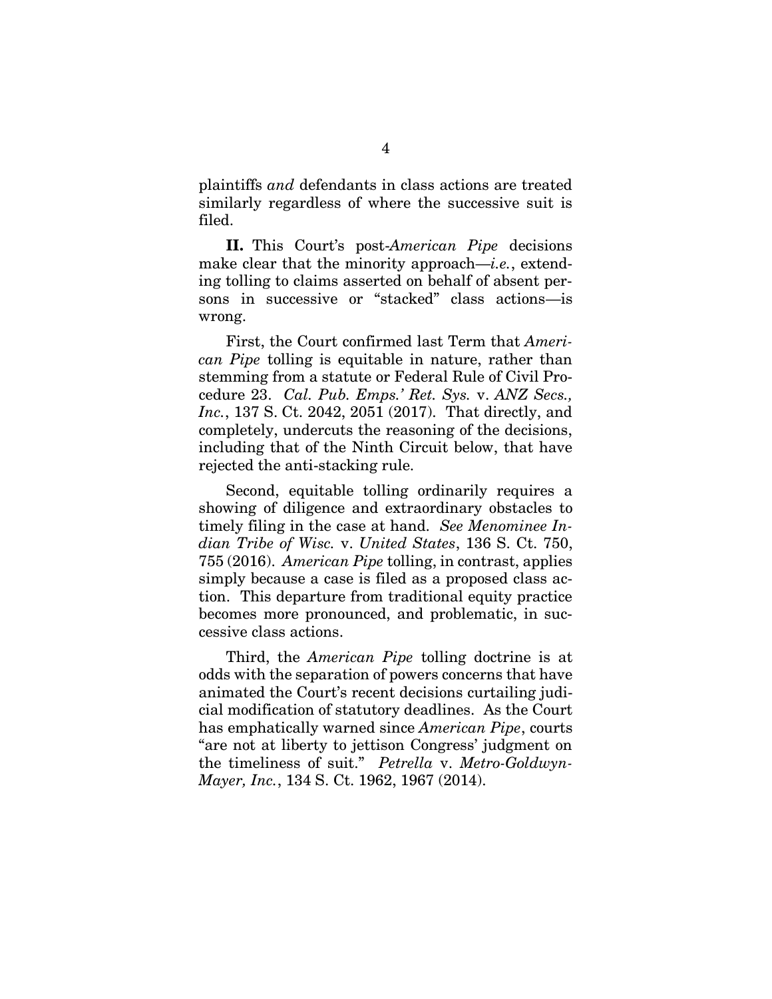plaintiffs *and* defendants in class actions are treated similarly regardless of where the successive suit is filed.

**II.** This Court's post-*American Pipe* decisions make clear that the minority approach—*i.e.*, extending tolling to claims asserted on behalf of absent persons in successive or "stacked" class actions—is wrong.

<span id="page-10-0"></span>First, the Court confirmed last Term that *American Pipe* tolling is equitable in nature, rather than stemming from a statute or Federal Rule of Civil Procedure 23. *Cal. Pub. Emps.' Ret. Sys.* v. *ANZ Secs., Inc.*, 137 S. Ct. 2042, 2051 (2017). That directly, and completely, undercuts the reasoning of the decisions, including that of the Ninth Circuit below, that have rejected the anti-stacking rule.

<span id="page-10-1"></span>Second, equitable tolling ordinarily requires a showing of diligence and extraordinary obstacles to timely filing in the case at hand. *See Menominee Indian Tribe of Wisc.* v. *United States*, 136 S. Ct. 750, 755 (2016). *American Pipe* tolling, in contrast, applies simply because a case is filed as a proposed class action. This departure from traditional equity practice becomes more pronounced, and problematic, in successive class actions.

<span id="page-10-2"></span>Third, the *American Pipe* tolling doctrine is at odds with the separation of powers concerns that have animated the Court's recent decisions curtailing judicial modification of statutory deadlines. As the Court has emphatically warned since *American Pipe*, courts "are not at liberty to jettison Congress' judgment on the timeliness of suit." *Petrella* v. *Metro-Goldwyn-Mayer, Inc.*, 134 S. Ct. 1962, 1967 (2014).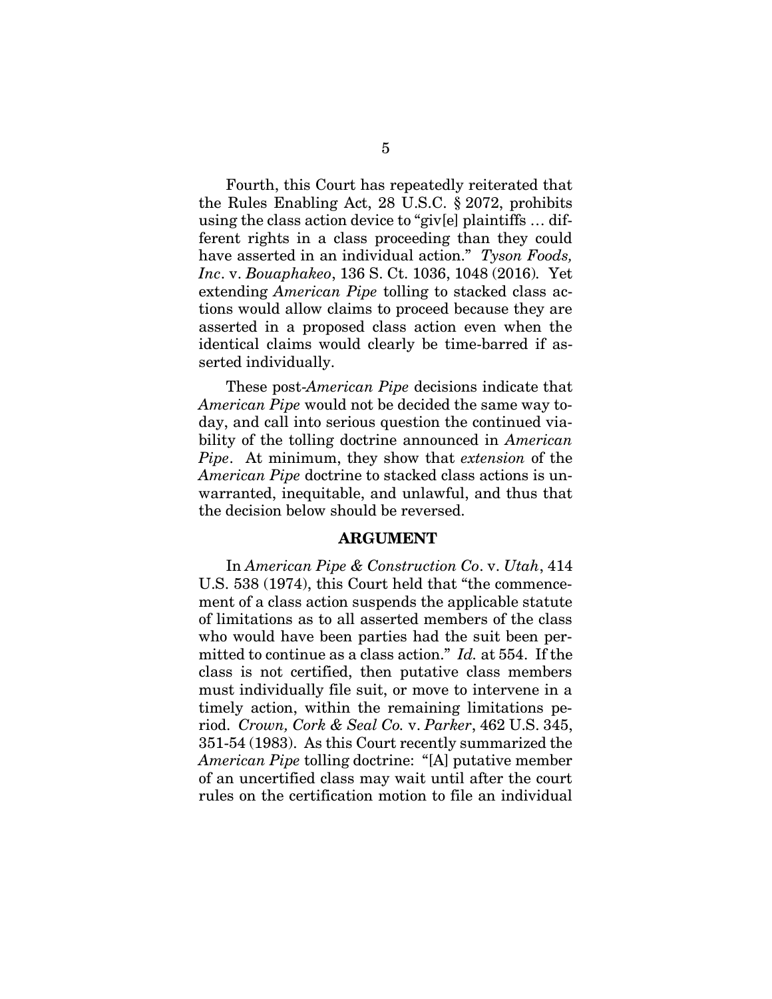<span id="page-11-2"></span><span id="page-11-1"></span>Fourth, this Court has repeatedly reiterated that the Rules Enabling Act, 28 U.S.C. § 2072, prohibits using the class action device to "giv[e] plaintiffs … different rights in a class proceeding than they could have asserted in an individual action." *Tyson Foods, Inc*. v. *Bouaphakeo*, 136 S. Ct. 1036, 1048 (2016)*.* Yet extending *American Pipe* tolling to stacked class actions would allow claims to proceed because they are asserted in a proposed class action even when the identical claims would clearly be time-barred if asserted individually.

These post-*American Pipe* decisions indicate that *American Pipe* would not be decided the same way today, and call into serious question the continued viability of the tolling doctrine announced in *American Pipe*. At minimum, they show that *extension* of the *American Pipe* doctrine to stacked class actions is unwarranted, inequitable, and unlawful, and thus that the decision below should be reversed.

#### **ARGUMENT**

<span id="page-11-0"></span>In *American Pipe & Construction Co*. v. *Utah*, 414 U.S. 538 (1974), this Court held that "the commencement of a class action suspends the applicable statute of limitations as to all asserted members of the class who would have been parties had the suit been permitted to continue as a class action." *Id.* at 554. If the class is not certified, then putative class members must individually file suit, or move to intervene in a timely action, within the remaining limitations period. *Crown, Cork & Seal Co.* v. *Parker*, 462 U.S. 345, 351-54 (1983). As this Court recently summarized the *American Pipe* tolling doctrine: "[A] putative member of an uncertified class may wait until after the court rules on the certification motion to file an individual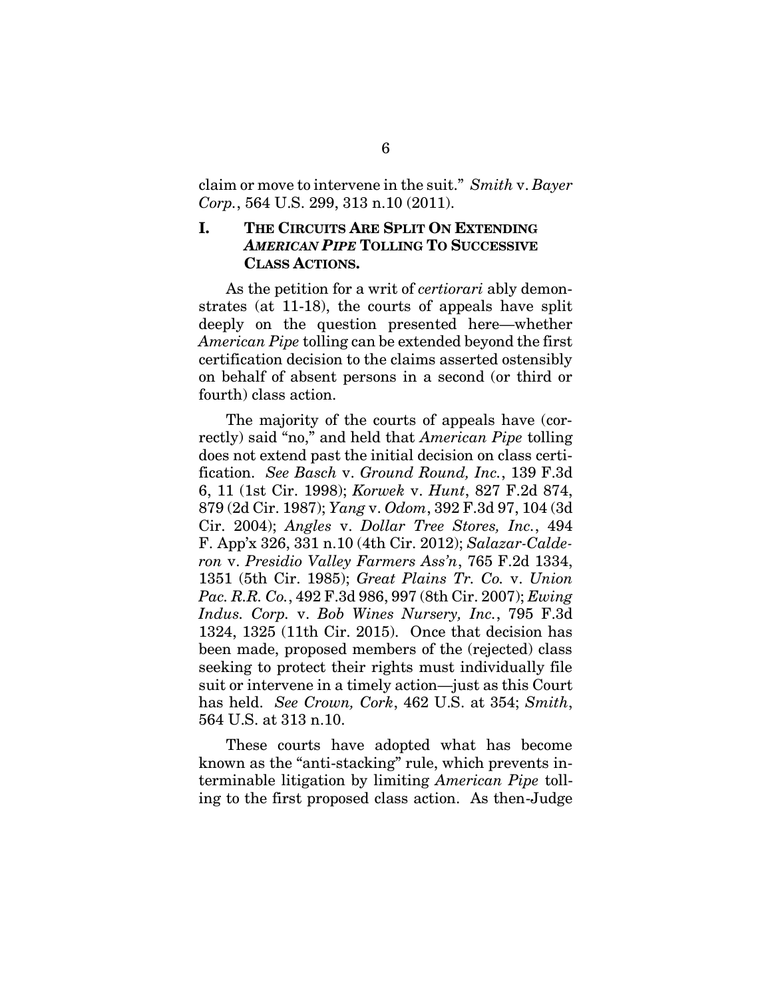claim or move to intervene in the suit." *Smith* v. *Bayer Corp.*, 564 U.S. 299, 313 n.10 (2011).

#### <span id="page-12-0"></span>**I. THE CIRCUITS ARE SPLIT ON EXTENDING**  *AMERICAN PIPE* **TOLLING TO SUCCESSIVE CLASS ACTIONS.**

As the petition for a writ of *certiorari* ably demonstrates (at 11-18), the courts of appeals have split deeply on the question presented here—whether *American Pipe* tolling can be extended beyond the first certification decision to the claims asserted ostensibly on behalf of absent persons in a second (or third or fourth) class action.

<span id="page-12-7"></span><span id="page-12-6"></span><span id="page-12-5"></span><span id="page-12-4"></span><span id="page-12-2"></span><span id="page-12-1"></span>The majority of the courts of appeals have (correctly) said "no," and held that *American Pipe* tolling does not extend past the initial decision on class certification. *See Basch* v. *Ground Round, Inc.*, 139 F.3d 6, 11 (1st Cir. 1998); *Korwek* v. *Hunt*, 827 F.2d 874, 879 (2d Cir. 1987); *Yang* v. *Odom*, 392 F.3d 97, 104 (3d Cir. 2004); *Angles* v. *Dollar Tree Stores, Inc.*, 494 F. App'x 326, 331 n.10 (4th Cir. 2012); *Salazar-Calderon* v. *Presidio Valley Farmers Ass'n*, 765 F.2d 1334, 1351 (5th Cir. 1985); *Great Plains Tr. Co.* v. *Union Pac. R.R. Co.*, 492 F.3d 986, 997 (8th Cir. 2007); *Ewing Indus. Corp.* v. *Bob Wines Nursery, Inc.*, 795 F.3d 1324, 1325 (11th Cir. 2015). Once that decision has been made, proposed members of the (rejected) class seeking to protect their rights must individually file suit or intervene in a timely action—just as this Court has held. *See Crown, Cork*, 462 U.S. at 354; *Smith*, 564 U.S. at 313 n.10.

<span id="page-12-3"></span>These courts have adopted what has become known as the "anti-stacking" rule, which prevents interminable litigation by limiting *American Pipe* tolling to the first proposed class action. As then-Judge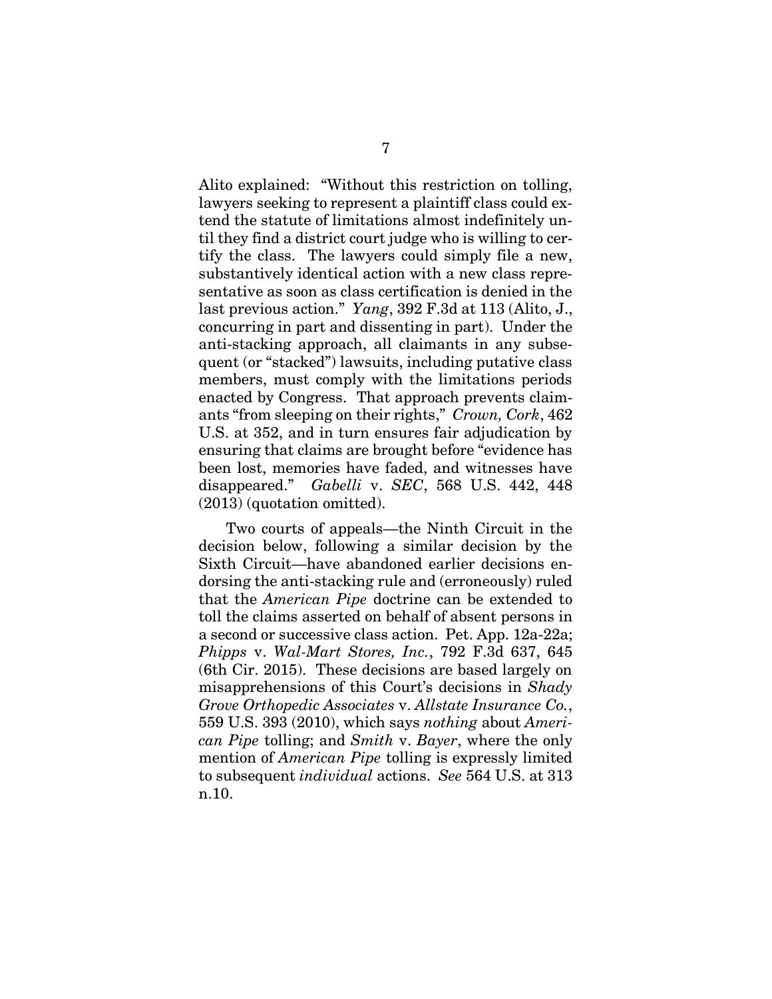<span id="page-13-3"></span>Alito explained: "Without this restriction on tolling, lawyers seeking to represent a plaintiff class could extend the statute of limitations almost indefinitely until they find a district court judge who is willing to certify the class. The lawyers could simply file a new, substantively identical action with a new class representative as soon as class certification is denied in the last previous action." *Yang*, 392 F.3d at 113 (Alito, J., concurring in part and dissenting in part). Under the anti-stacking approach, all claimants in any subsequent (or "stacked") lawsuits, including putative class members, must comply with the limitations periods enacted by Congress. That approach prevents claimants "from sleeping on their rights," *Crown, Cork*, 462 U.S. at 352, and in turn ensures fair adjudication by ensuring that claims are brought before "evidence has been lost, memories have faded, and witnesses have disappeared." *Gabelli* v. *SEC*, 568 U.S. 442, 448 (2013) (quotation omitted).

<span id="page-13-2"></span><span id="page-13-1"></span><span id="page-13-0"></span>Two courts of appeals—the Ninth Circuit in the decision below, following a similar decision by the Sixth Circuit—have abandoned earlier decisions endorsing the anti-stacking rule and (erroneously) ruled that the *American Pipe* doctrine can be extended to toll the claims asserted on behalf of absent persons in a second or successive class action. Pet. App. 12a-22a; *Phipps* v. *Wal-Mart Stores, Inc.*, 792 F.3d 637, 645 (6th Cir. 2015). These decisions are based largely on misapprehensions of this Court's decisions in *Shady Grove Orthopedic Associates* v. *Allstate Insurance Co.*, 559 U.S. 393 (2010), which says *nothing* about *American Pipe* tolling; and *Smith* v. *Bayer*, where the only mention of *American Pipe* tolling is expressly limited to subsequent *individual* actions. *See* 564 U.S. at 313 n.10.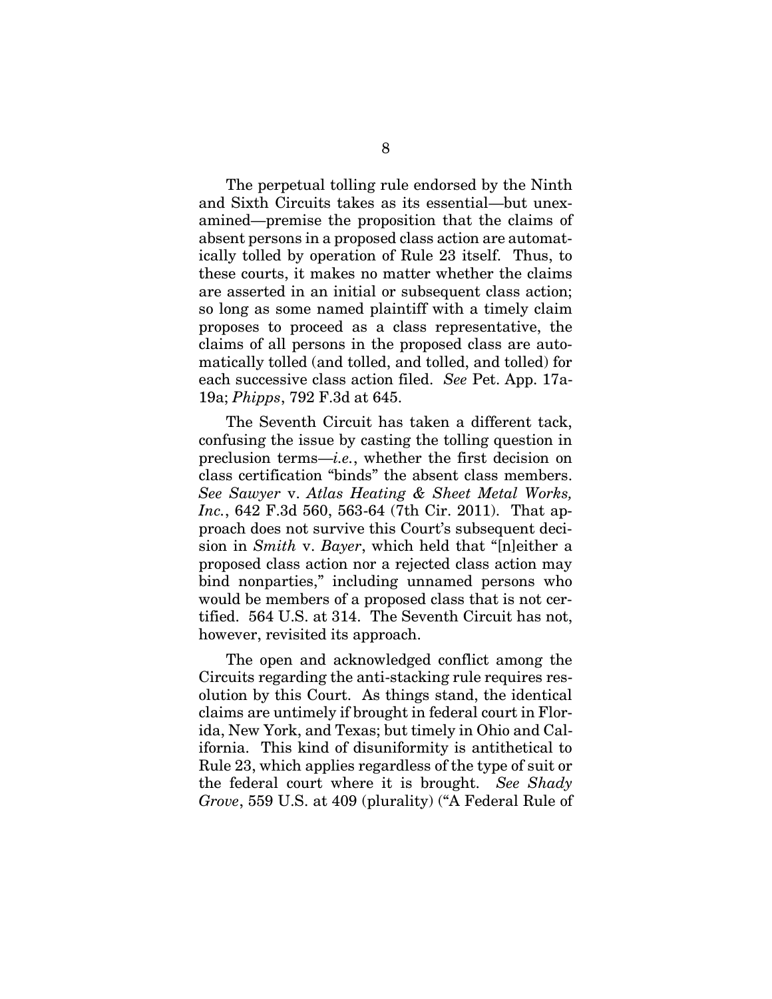The perpetual tolling rule endorsed by the Ninth and Sixth Circuits takes as its essential—but unexamined—premise the proposition that the claims of absent persons in a proposed class action are automatically tolled by operation of Rule 23 itself. Thus, to these courts, it makes no matter whether the claims are asserted in an initial or subsequent class action; so long as some named plaintiff with a timely claim proposes to proceed as a class representative, the claims of all persons in the proposed class are automatically tolled (and tolled, and tolled, and tolled) for each successive class action filed. *See* Pet. App. 17a-19a; *Phipps*, 792 F.3d at 645.

<span id="page-14-1"></span><span id="page-14-0"></span>The Seventh Circuit has taken a different tack, confusing the issue by casting the tolling question in preclusion terms—*i.e.*, whether the first decision on class certification "binds" the absent class members. *See Sawyer* v. *Atlas Heating & Sheet Metal Works, Inc.*, 642 F.3d 560, 563-64 (7th Cir. 2011). That approach does not survive this Court's subsequent decision in *Smith* v. *Bayer*, which held that "[n]either a proposed class action nor a rejected class action may bind nonparties," including unnamed persons who would be members of a proposed class that is not certified. 564 U.S. at 314. The Seventh Circuit has not, however, revisited its approach.

<span id="page-14-2"></span>The open and acknowledged conflict among the Circuits regarding the anti-stacking rule requires resolution by this Court. As things stand, the identical claims are untimely if brought in federal court in Florida, New York, and Texas; but timely in Ohio and California. This kind of disuniformity is antithetical to Rule 23, which applies regardless of the type of suit or the federal court where it is brought. *See Shady Grove*, 559 U.S. at 409 (plurality) ("A Federal Rule of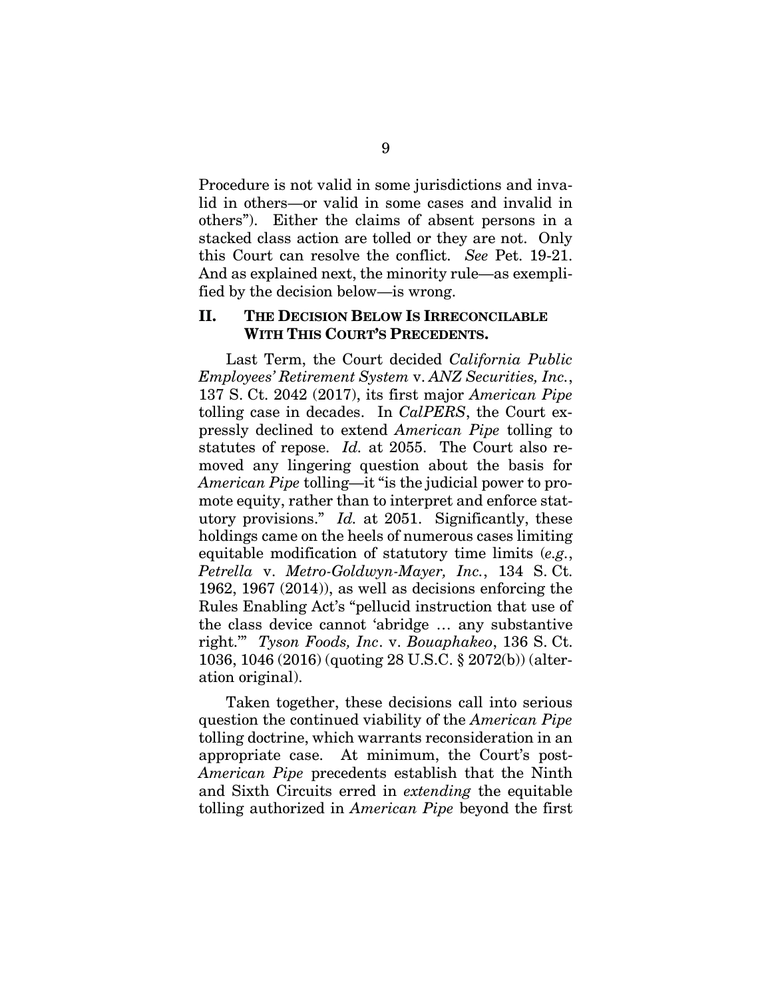Procedure is not valid in some jurisdictions and invalid in others—or valid in some cases and invalid in others"). Either the claims of absent persons in a stacked class action are tolled or they are not. Only this Court can resolve the conflict. *See* Pet. 19-21. And as explained next, the minority rule—as exemplified by the decision below—is wrong.

#### <span id="page-15-0"></span>**II. THE DECISION BELOW IS IRRECONCILABLE WITH THIS COURT'S PRECEDENTS.**

Last Term, the Court decided *California Public Employees' Retirement System* v. *ANZ Securities, Inc.*, 137 S. Ct. 2042 (2017), its first major *American Pipe* tolling case in decades. In *CalPERS*, the Court expressly declined to extend *American Pipe* tolling to statutes of repose. *Id.* at 2055. The Court also removed any lingering question about the basis for *American Pipe* tolling—it "is the judicial power to promote equity, rather than to interpret and enforce statutory provisions." *Id.* at 2051. Significantly, these holdings came on the heels of numerous cases limiting equitable modification of statutory time limits (*e.g.*, *Petrella* v. *Metro-Goldwyn-Mayer, Inc.*, 134 S. Ct. 1962, 1967 (2014)), as well as decisions enforcing the Rules Enabling Act's "pellucid instruction that use of the class device cannot 'abridge … any substantive right.'" *Tyson Foods, Inc*. v. *Bouaphakeo*, 136 S. Ct. 1036, 1046 (2016) (quoting 28 U.S.C. § 2072(b)) (alteration original).

<span id="page-15-2"></span><span id="page-15-1"></span>Taken together, these decisions call into serious question the continued viability of the *American Pipe* tolling doctrine, which warrants reconsideration in an appropriate case. At minimum, the Court's post-*American Pipe* precedents establish that the Ninth and Sixth Circuits erred in *extending* the equitable tolling authorized in *American Pipe* beyond the first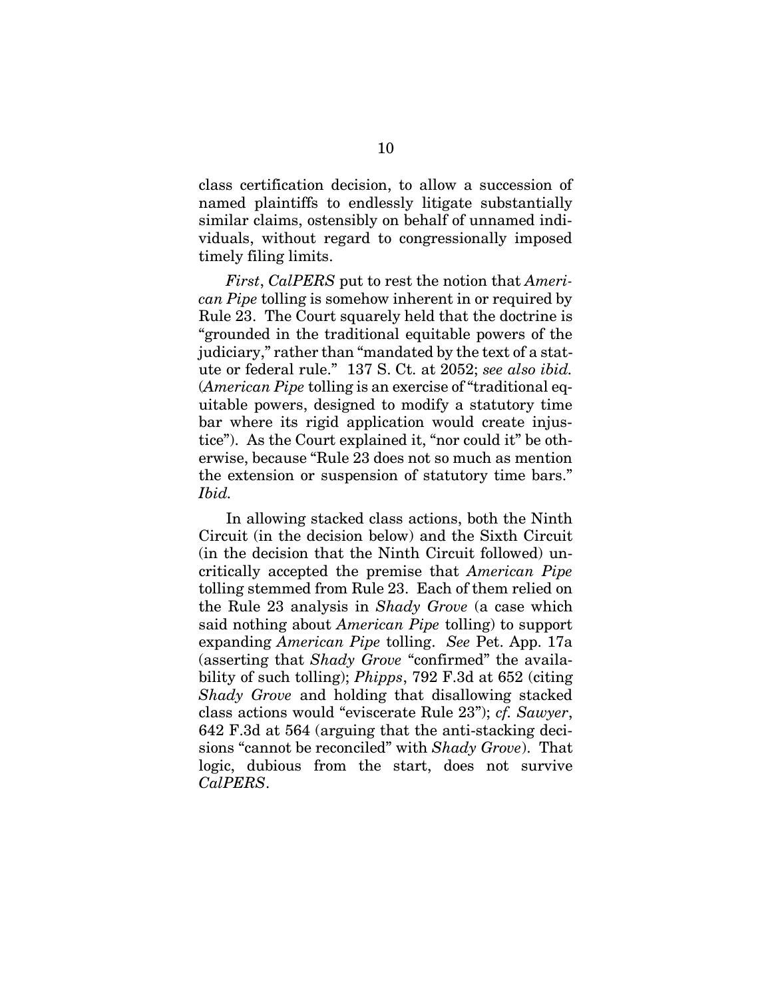class certification decision, to allow a succession of named plaintiffs to endlessly litigate substantially similar claims, ostensibly on behalf of unnamed individuals, without regard to congressionally imposed timely filing limits.

*First*, *CalPERS* put to rest the notion that *American Pipe* tolling is somehow inherent in or required by Rule 23. The Court squarely held that the doctrine is "grounded in the traditional equitable powers of the judiciary," rather than "mandated by the text of a statute or federal rule." 137 S. Ct. at 2052; *see also ibid.*  (*American Pipe* tolling is an exercise of "traditional equitable powers, designed to modify a statutory time bar where its rigid application would create injustice"). As the Court explained it, "nor could it" be otherwise, because "Rule 23 does not so much as mention the extension or suspension of statutory time bars." *Ibid.* 

<span id="page-16-2"></span><span id="page-16-1"></span><span id="page-16-0"></span>In allowing stacked class actions, both the Ninth Circuit (in the decision below) and the Sixth Circuit (in the decision that the Ninth Circuit followed) uncritically accepted the premise that *American Pipe* tolling stemmed from Rule 23. Each of them relied on the Rule 23 analysis in *Shady Grove* (a case which said nothing about *American Pipe* tolling) to support expanding *American Pipe* tolling. *See* Pet. App. 17a (asserting that *Shady Grove* "confirmed" the availability of such tolling); *Phipps*, 792 F.3d at 652 (citing *Shady Grove* and holding that disallowing stacked class actions would "eviscerate Rule 23"); *cf. Sawyer*, 642 F.3d at 564 (arguing that the anti-stacking decisions "cannot be reconciled" with *Shady Grove*). That logic, dubious from the start, does not survive *CalPERS*.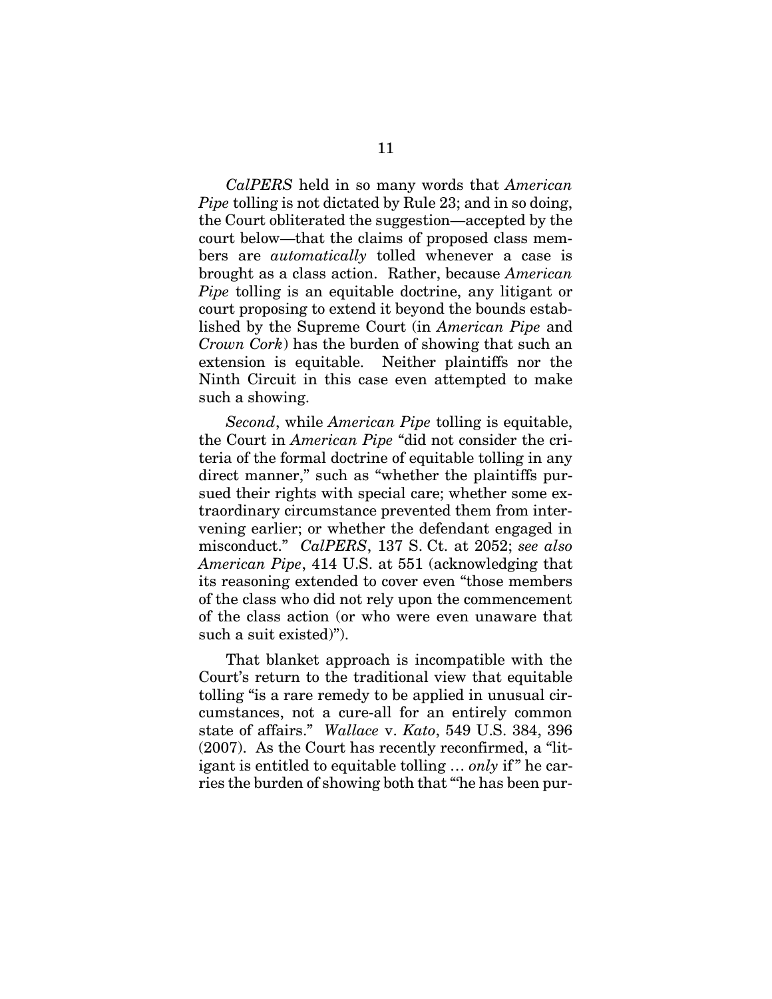*CalPERS* held in so many words that *American Pipe* tolling is not dictated by Rule 23; and in so doing, the Court obliterated the suggestion—accepted by the court below—that the claims of proposed class members are *automatically* tolled whenever a case is brought as a class action. Rather, because *American Pipe* tolling is an equitable doctrine, any litigant or court proposing to extend it beyond the bounds established by the Supreme Court (in *American Pipe* and *Crown Cork*) has the burden of showing that such an extension is equitable. Neither plaintiffs nor the Ninth Circuit in this case even attempted to make such a showing.

*Second*, while *American Pipe* tolling is equitable, the Court in *American Pipe* "did not consider the criteria of the formal doctrine of equitable tolling in any direct manner," such as "whether the plaintiffs pursued their rights with special care; whether some extraordinary circumstance prevented them from intervening earlier; or whether the defendant engaged in misconduct." *CalPERS*, 137 S. Ct. at 2052; *see also American Pipe*, 414 U.S. at 551 (acknowledging that its reasoning extended to cover even "those members of the class who did not rely upon the commencement of the class action (or who were even unaware that such a suit existed)").

<span id="page-17-0"></span>That blanket approach is incompatible with the Court's return to the traditional view that equitable tolling "is a rare remedy to be applied in unusual circumstances, not a cure-all for an entirely common state of affairs." *Wallace* v. *Kato*, 549 U.S. 384, 396 (2007). As the Court has recently reconfirmed, a "litigant is entitled to equitable tolling … *only* if  " he carries the burden of showing both that "'he has been pur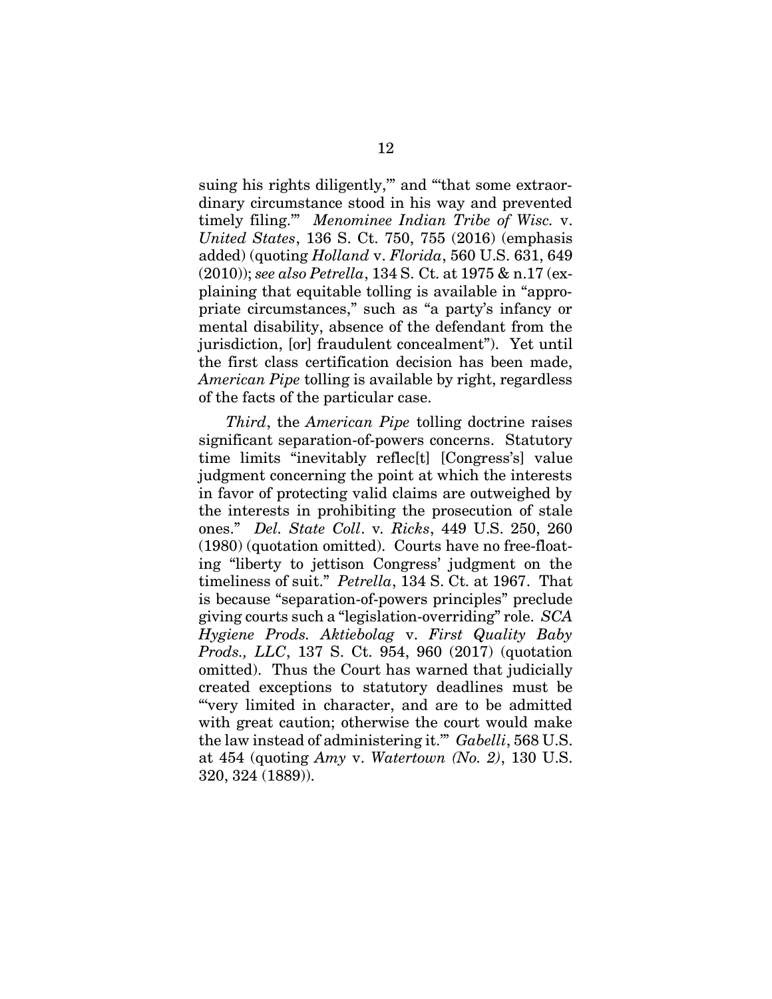<span id="page-18-5"></span><span id="page-18-4"></span><span id="page-18-3"></span>suing his rights diligently," and "that some extraordinary circumstance stood in his way and prevented timely filing.'" *Menominee Indian Tribe of Wisc.* v. *United States*, 136 S. Ct. 750, 755 (2016) (emphasis added) (quoting *Holland* v. *Florida*, 560 U.S. 631, 649 (2010)); *see also Petrella*, 134 S. Ct. at 1975 & n.17 (explaining that equitable tolling is available in "appropriate circumstances," such as "a party's infancy or mental disability, absence of the defendant from the jurisdiction, [or] fraudulent concealment"). Yet until the first class certification decision has been made, *American Pipe* tolling is available by right, regardless of the facts of the particular case.

<span id="page-18-6"></span><span id="page-18-2"></span><span id="page-18-1"></span><span id="page-18-0"></span>*Third*, the *American Pipe* tolling doctrine raises significant separation-of-powers concerns. Statutory time limits "inevitably reflec[t] [Congress's] value judgment concerning the point at which the interests in favor of protecting valid claims are outweighed by the interests in prohibiting the prosecution of stale ones." *Del. State Coll*. v*. Ricks*, 449 U.S. 250, 260 (1980) (quotation omitted). Courts have no free-floating "liberty to jettison Congress' judgment on the timeliness of suit." *Petrella*, 134 S. Ct. at 1967. That is because "separation-of-powers principles" preclude giving courts such a "legislation-overriding" role. *SCA Hygiene Prods. Aktiebolag* v. *First Quality Baby Prods., LLC*, 137 S. Ct. 954, 960 (2017) (quotation omitted). Thus the Court has warned that judicially created exceptions to statutory deadlines must be "'very limited in character, and are to be admitted with great caution; otherwise the court would make the law instead of administering it.'" *Gabelli*, 568 U.S. at 454 (quoting *Amy* v. *Watertown (No. 2)*, 130 U.S. 320, 324 (1889)).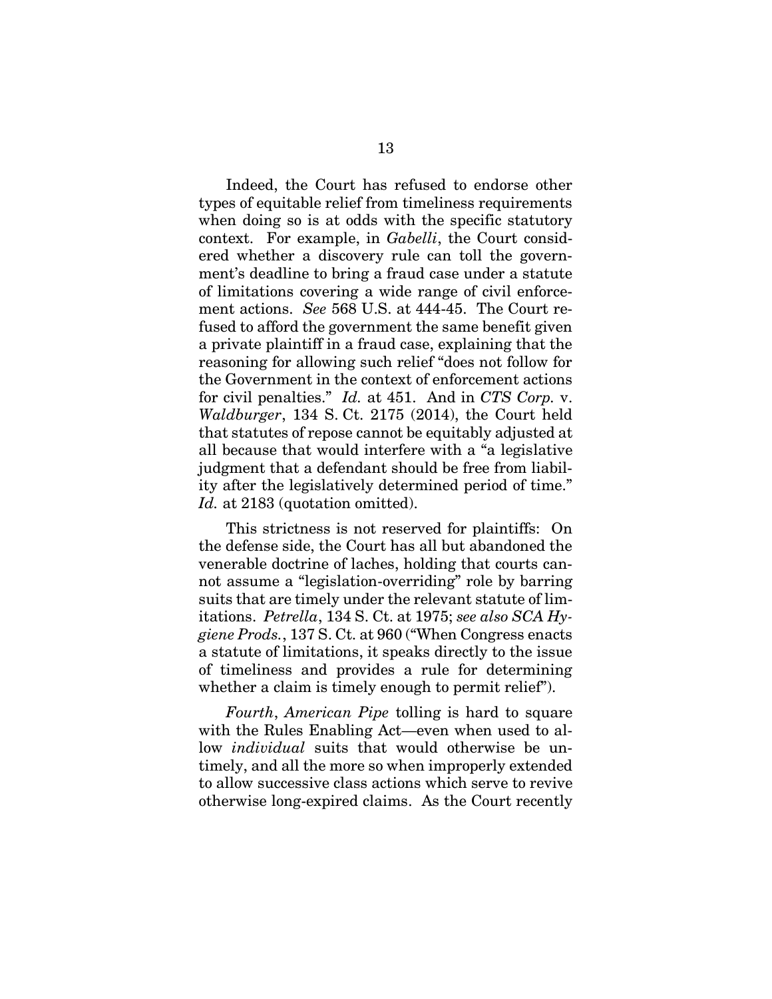<span id="page-19-1"></span>Indeed, the Court has refused to endorse other types of equitable relief from timeliness requirements when doing so is at odds with the specific statutory context. For example, in *Gabelli*, the Court considered whether a discovery rule can toll the government's deadline to bring a fraud case under a statute of limitations covering a wide range of civil enforcement actions. *See* 568 U.S. at 444-45. The Court refused to afford the government the same benefit given a private plaintiff in a fraud case, explaining that the reasoning for allowing such relief "does not follow for the Government in the context of enforcement actions for civil penalties." *Id.* at 451. And in *CTS Corp.* v. *Waldburger*, 134 S. Ct. 2175 (2014), the Court held that statutes of repose cannot be equitably adjusted at all because that would interfere with a "a legislative judgment that a defendant should be free from liability after the legislatively determined period of time." Id. at 2183 (quotation omitted).

<span id="page-19-3"></span><span id="page-19-2"></span><span id="page-19-0"></span>This strictness is not reserved for plaintiffs: On the defense side, the Court has all but abandoned the venerable doctrine of laches, holding that courts cannot assume a "legislation-overriding" role by barring suits that are timely under the relevant statute of limitations. *Petrella*, 134 S. Ct. at 1975; *see also SCA Hygiene Prods.*, 137 S. Ct. at 960 ("When Congress enacts a statute of limitations, it speaks directly to the issue of timeliness and provides a rule for determining whether a claim is timely enough to permit relief").

*Fourth*, *American Pipe* tolling is hard to square with the Rules Enabling Act—even when used to allow *individual* suits that would otherwise be untimely, and all the more so when improperly extended to allow successive class actions which serve to revive otherwise long-expired claims. As the Court recently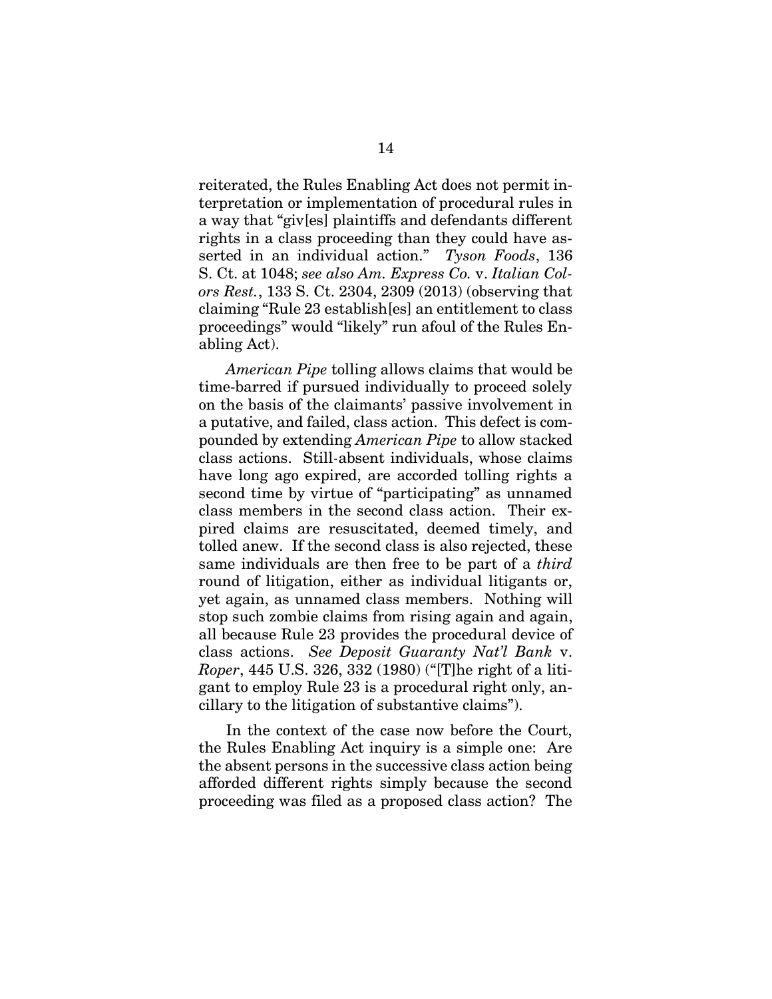<span id="page-20-2"></span><span id="page-20-0"></span>reiterated, the Rules Enabling Act does not permit interpretation or implementation of procedural rules in a way that "giv[es] plaintiffs and defendants different rights in a class proceeding than they could have asserted in an individual action." *Tyson Foods*, 136 S. Ct. at 1048; *see also Am. Express Co.* v. *Italian Colors Rest.*, 133 S. Ct. 2304, 2309 (2013) (observing that claiming "Rule 23 establish[es] an entitlement to class proceedings" would "likely" run afoul of the Rules Enabling Act).

*American Pipe* tolling allows claims that would be time-barred if pursued individually to proceed solely on the basis of the claimants' passive involvement in a putative, and failed, class action. This defect is compounded by extending *American Pipe* to allow stacked class actions. Still*-*absent individuals, whose claims have long ago expired, are accorded tolling rights a second time by virtue of "participating" as unnamed class members in the second class action. Their expired claims are resuscitated, deemed timely, and tolled anew. If the second class is also rejected, these same individuals are then free to be part of a *third* round of litigation, either as individual litigants or, yet again, as unnamed class members. Nothing will stop such zombie claims from rising again and again, all because Rule 23 provides the procedural device of class actions. *See Deposit Guaranty Nat'l Bank* v. *Roper*, 445 U.S. 326, 332 (1980) ("[T]he right of a litigant to employ Rule 23 is a procedural right only, ancillary to the litigation of substantive claims").

<span id="page-20-1"></span>In the context of the case now before the Court, the Rules Enabling Act inquiry is a simple one: Are the absent persons in the successive class action being afforded different rights simply because the second proceeding was filed as a proposed class action? The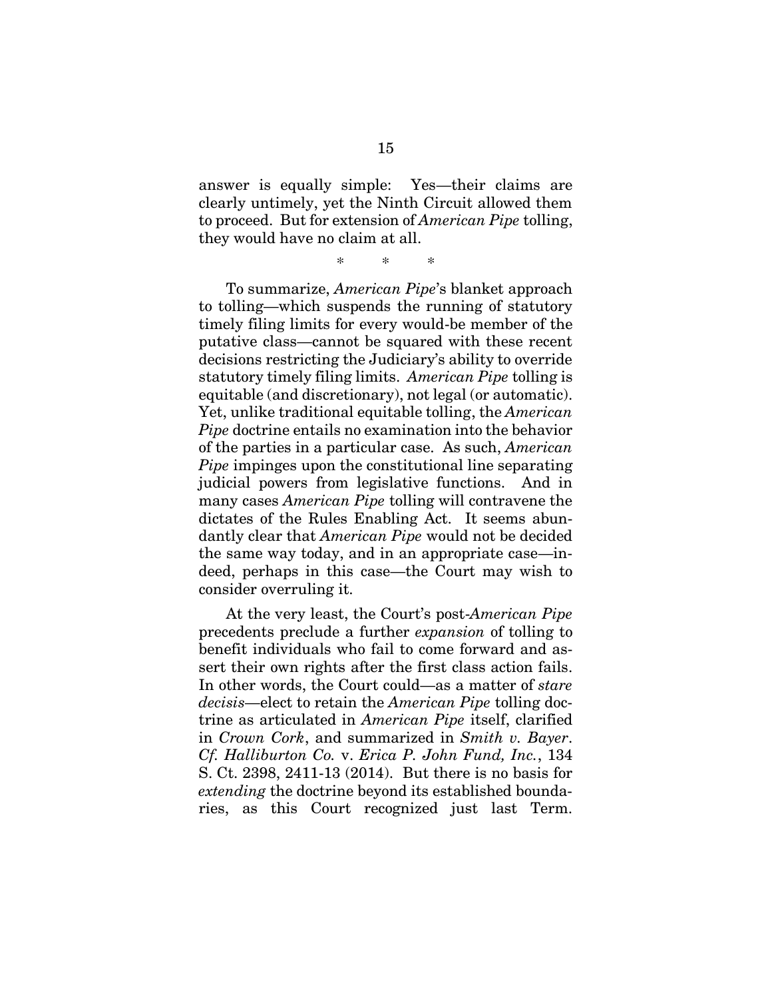answer is equally simple: Yes—their claims are clearly untimely, yet the Ninth Circuit allowed them to proceed. But for extension of *American Pipe* tolling, they would have no claim at all.

\* \* \*

To summarize, *American Pipe*'s blanket approach to tolling—which suspends the running of statutory timely filing limits for every would-be member of the putative class—cannot be squared with these recent decisions restricting the Judiciary's ability to override statutory timely filing limits. *American Pipe* tolling is equitable (and discretionary), not legal (or automatic). Yet, unlike traditional equitable tolling, the *American Pipe* doctrine entails no examination into the behavior of the parties in a particular case. As such, *American Pipe* impinges upon the constitutional line separating judicial powers from legislative functions. And in many cases *American Pipe* tolling will contravene the dictates of the Rules Enabling Act. It seems abundantly clear that *American Pipe* would not be decided the same way today, and in an appropriate case—indeed, perhaps in this case—the Court may wish to consider overruling it.

<span id="page-21-0"></span>At the very least, the Court's post-*American Pipe*  precedents preclude a further *expansion* of tolling to benefit individuals who fail to come forward and assert their own rights after the first class action fails. In other words, the Court could—as a matter of *stare decisis*—elect to retain the *American Pipe* tolling doctrine as articulated in *American Pipe* itself, clarified in *Crown Cork*, and summarized in *Smith v. Bayer*. *Cf. Halliburton Co.* v. *Erica P. John Fund, Inc.*, 134 S. Ct. 2398, 2411-13 (2014). But there is no basis for *extending* the doctrine beyond its established boundaries, as this Court recognized just last Term.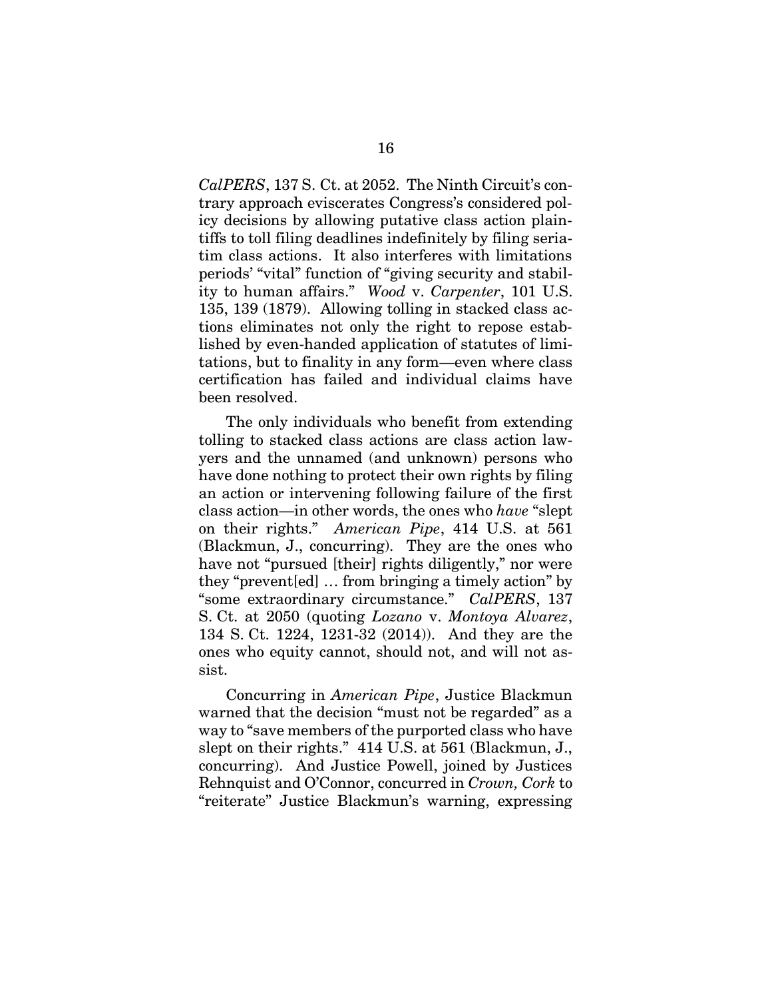<span id="page-22-1"></span>*CalPERS*, 137 S. Ct. at 2052. The Ninth Circuit's contrary approach eviscerates Congress's considered policy decisions by allowing putative class action plaintiffs to toll filing deadlines indefinitely by filing seriatim class actions. It also interferes with limitations periods' "vital" function of "giving security and stability to human affairs." *Wood* v. *Carpenter*, 101 U.S. 135, 139 (1879). Allowing tolling in stacked class actions eliminates not only the right to repose established by even-handed application of statutes of limitations, but to finality in any form—even where class certification has failed and individual claims have been resolved.

The only individuals who benefit from extending tolling to stacked class actions are class action lawyers and the unnamed (and unknown) persons who have done nothing to protect their own rights by filing an action or intervening following failure of the first class action—in other words, the ones who *have* "slept on their rights." *American Pipe*, 414 U.S. at 561 (Blackmun, J., concurring). They are the ones who have not "pursued [their] rights diligently," nor were they "prevent[ed] … from bringing a timely action" by "some extraordinary circumstance." *CalPERS*, 137 S. Ct. at 2050 (quoting *Lozano* v. *Montoya Alvarez*, 134 S. Ct. 1224, 1231-32 (2014)). And they are the ones who equity cannot, should not, and will not assist.

<span id="page-22-0"></span>Concurring in *American Pipe*, Justice Blackmun warned that the decision "must not be regarded" as a way to "save members of the purported class who have slept on their rights." 414 U.S. at 561 (Blackmun, J., concurring). And Justice Powell, joined by Justices Rehnquist and O'Connor, concurred in *Crown, Cork* to "reiterate" Justice Blackmun's warning, expressing